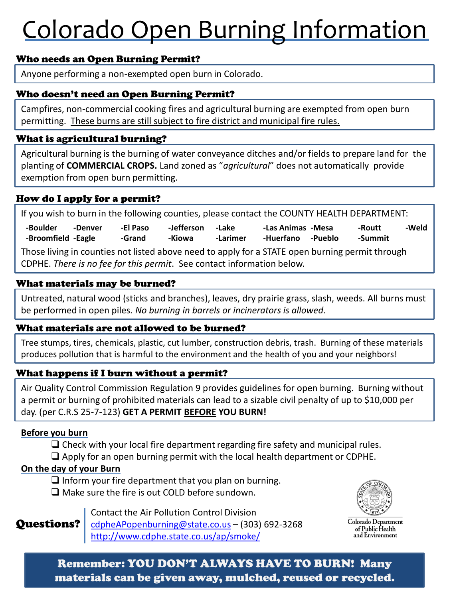# Colorado Open Burning Information

# Who needs an Open Burning Permit?

Anyone performing a non-exempted open burn in Colorado.

### Who doesn't need an Open Burning Permit?

Campfires, non-commercial cooking fires and agricultural burning are exempted from open burn permitting. These burns are still subject to fire district and municipal fire rules.

# What is agricultural burning?

Agricultural burning is the burning of water conveyance ditches and/or fields to prepare land for the planting of **COMMERCIAL CROPS.** Land zoned as "*agricultural*" does not automatically provide exemption from open burn permitting.

# How do I apply for a permit?

If you wish to burn in the following counties, please contact the COUNTY HEALTH DEPARTMENT: Those living in counties not listed above need to apply for a STATE open burning permit through CDPHE. *There is no fee for this permit*. See contact information below. **-Boulder -Broomfield -Eagle -Denver -El Paso -Grand -Jefferson -Kiowa -Lake -Larimer -Las Animas -Mesa -Huerfano -Pueblo -Routt -Summit -Weld** 

#### What materials may be burned?

Untreated, natural wood (sticks and branches), leaves, dry prairie grass, slash, weeds. All burns must be performed in open piles*. No burning in barrels or incinerators is allowed*.

#### What materials are not allowed to be burned?

Tree stumps, tires, chemicals, plastic, cut lumber, construction debris, trash. Burning of these materials produces pollution that is harmful to the environment and the health of you and your neighbors!

# What happens if I burn without a permit?

Air Quality Control Commission Regulation 9 provides guidelines for open burning. Burning without a permit or burning of prohibited materials can lead to a sizable civil penalty of up to \$10,000 per day. (per C.R.S 25-7-123) **GET A PERMIT BEFORE YOU BURN!** 

#### **Before you burn**

 $\square$  Check with your local fire department regarding fire safety and municipal rules.  $\Box$  Apply for an open burning permit with the local health department or CDPHE.

#### **On the day of your Burn**

 $\Box$  Inform your fire department that you plan on burning.  $\square$  Make sure the fire is out COLD before sundown.

Contact the Air Pollution Control Division

Colorado Department of Public Health and Environment

[cdpheAPopenburning@state.co.us](mailto:cdpheAPopenburning@state.co.us) – (303) 692-3268 <http://www.cdphe.state.co.us/ap/smoke/> Questions?

# Remember: YOU DON'T ALWAYS HAVE TO BURN! Many materials can be given away, mulched, reused or recycled.